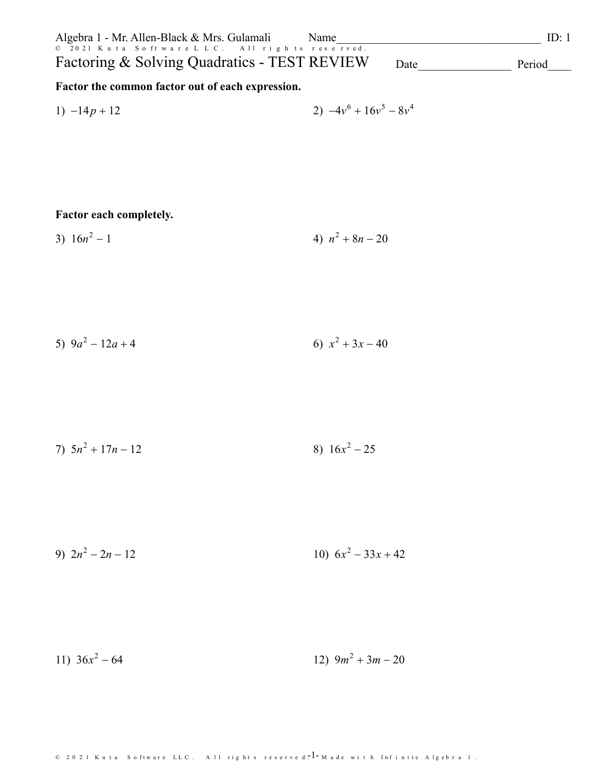| Algebra 1 - Mr. Allen-Black & Mrs. Gulamali    | Name | ID: 1  |
|------------------------------------------------|------|--------|
| © 2021 Kuta Software LLC. All rights reserved. |      |        |
| Factoring & Solving Quadratics - TEST REVIEW   | Date | Period |

Factor the common factor out of each expression.

1) 
$$
-14p + 12
$$
  
2)  $-4v^6 + 16v^5 - 8v^4$ 

### Factor each completely.

4)  $n^2 + 8n - 20$ 3)  $16n^2 - 1$ 

5) 
$$
9a^2 - 12a + 4
$$
 6)  $x^2 + 3x - 40$ 

7) 
$$
5n^2 + 17n - 12
$$
 8)  $16x^2 - 25$ 

9)  $2n^2 - 2n - 12$ 10)  $6x^2 - 33x + 42$ 

11)  $36x^2 - 64$ 12)  $9m^2 + 3m - 20$ 

© 2021 Kuta Software LLC. All rights reserved.  $1 - M$  ade with Infinite Algebra 1.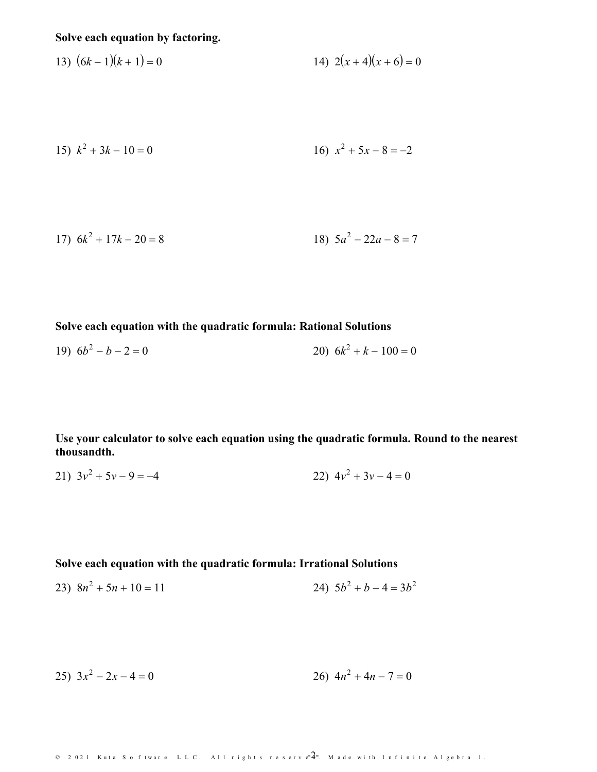# **Solve each equation by factoring.**

13) 
$$
(6k-1)(k+1) = 0
$$
  
14)  $2(x+4)(x+6) = 0$ 

15) 
$$
k^2 + 3k - 10 = 0
$$
  
16)  $x^2 + 5x - 8 = -2$ 

$$
17) \ \ 6k^2 + 17k - 20 = 8
$$
\n
$$
18) \ \ 5a^2 - 22a - 8 = 7
$$

#### **Solve each equation with the quadratic formula: Rational Solutions**

$$
19) \ \ 6b^2 - b - 2 = 0 \tag{20} \ \ 6k^2 + k - 100 = 0
$$

**Use your calculator to solve each equation using the quadratic formula. Round tothe nearest thousandth.**

$$
21) \ 3v^2 + 5v - 9 = -4 \qquad \qquad 22) \ 4v^2 + 3v - 4 = 0
$$

**Solve each equation with the quadratic formula: Irrational Solutions**

$$
23)\ \ 8n^2 + 5n + 10 = 11
$$
\n
$$
24)\ \ 5b^2 + b - 4 = 3b^2
$$

$$
25) \t3x^2 - 2x - 4 = 0
$$
  
26) \t4n^2 + 4n - 7 = 0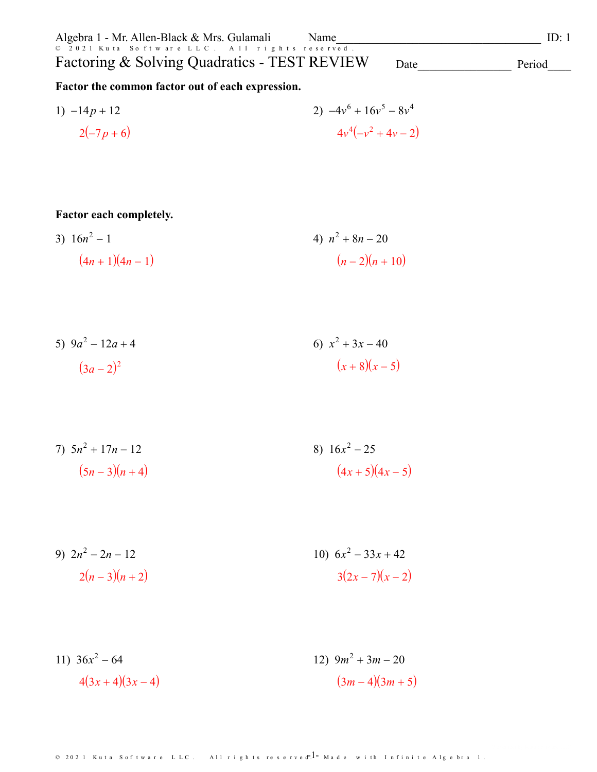| Algebra 1 - Mr. Allen-Black & Mrs. Gulamali<br>Name |      | ID: 1  |
|-----------------------------------------------------|------|--------|
| © 2021 Kuta Software LLC. All rights reserved.      |      |        |
| Factoring & Solving Quadratics - TEST REVIEW        | Date | Period |
| Factor the common factor out of each expression.    |      |        |

1) 
$$
-14p + 12
$$
  
2)  $-4v^6 + 16v^5 - 8v^4$   
4 $v^4(-v^2 + 4v - 2)$ 

## **Factor each completely.**

3)  $16n^2 - 1$  $(4n+1)(4n-1)$ 4)  $n^2 + 8n - 20$  $(n-2)(n+10)$ 

5) 
$$
9a^2 - 12a + 4
$$
  
\n $(3a-2)^2$   
\n $(x+8)(x-5)$ 

7) 
$$
5n^2 + 17n - 12
$$
  
\n $(5n-3)(n+4)$   
\n8)  $16x^2 - 25$   
\n $(4x+5)(4x-5)$ 

9) 
$$
2n^2 - 2n - 12
$$
  
2(n-3)(n+2)  
10)  $6x^2 - 33x + 42$   
3(2x-7)(x-2)

11) 
$$
36x^2 - 64
$$
  
4 $(3x+4)(3x-4)$   
12)  $9m^2 + 3m - 20$   
 $(3m-4)(3m+5)$